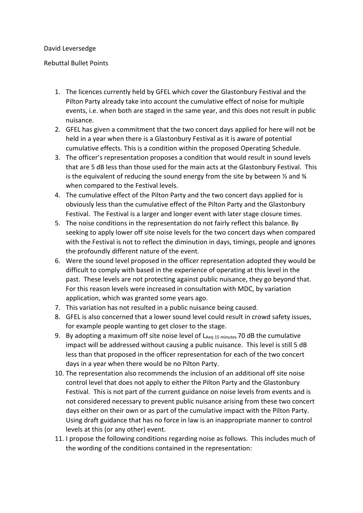## David Leversedge

## Rebuttal Bullet Points

- 1. The licences currently held by GFEL which cover the Glastonbury Festival and the Pilton Party already take into account the cumulative effect of noise for multiple events, i.e. when both are staged in the same year, and this does not result in public nuisance.
- 2. GFEL has given a commitment that the two concert days applied for here will not be held in a year when there is a Glastonbury Festival as it is aware of potential cumulative effects. This is a condition within the proposed Operating Schedule.
- 3. The officer's representation proposes a condition that would result in sound levels that are 5 dB less than those used for the main acts at the Glastonbury Festival. This is the equivalent of reducing the sound energy from the site by between  $\frac{1}{2}$  and  $\frac{1}{4}$ when compared to the Festival levels.
- 4. The cumulative effect of the Pilton Party and the two concert days applied for is obviously less than the cumulative effect of the Pilton Party and the Glastonbury Festival. The Festival is a larger and longer event with later stage closure times.
- 5. The noise conditions in the representation do not fairly reflect this balance. By seeking to apply lower off site noise levels for the two concert days when compared with the Festival is not to reflect the diminution in days, timings, people and ignores the profoundly different nature of the event.
- 6. Were the sound level proposed in the officer representation adopted they would be difficult to comply with based in the experience of operating at this level in the past. These levels are not protecting against public nuisance, they go beyond that. For this reason levels were increased in consultation with MDC, by variation application, which was granted some years ago.
- 7. This variation has not resulted in a public nuisance being caused.
- 8. GFEL is also concerned that a lower sound level could result in crowd safety issues, for example people wanting to get closer to the stage.
- 9. By adopting a maximum off site noise level of  $L_{Aeq}$  15 minutes 70 dB the cumulative impact will be addressed without causing a public nuisance. This level is still 5 dB less than that proposed in the officer representation for each of the two concert days in a year when there would be no Pilton Party.
- 10. The representation also recommends the inclusion of an additional off site noise control level that does not apply to either the Pilton Party and the Glastonbury Festival. This is not part of the current guidance on noise levels from events and is not considered necessary to prevent public nuisance arising from these two concert days either on their own or as part of the cumulative impact with the Pilton Party. Using draft guidance that has no force in law is an inappropriate manner to control levels at this (or any other) event.
- 11. I propose the following conditions regarding noise as follows. This includes much of the wording of the conditions contained in the representation: